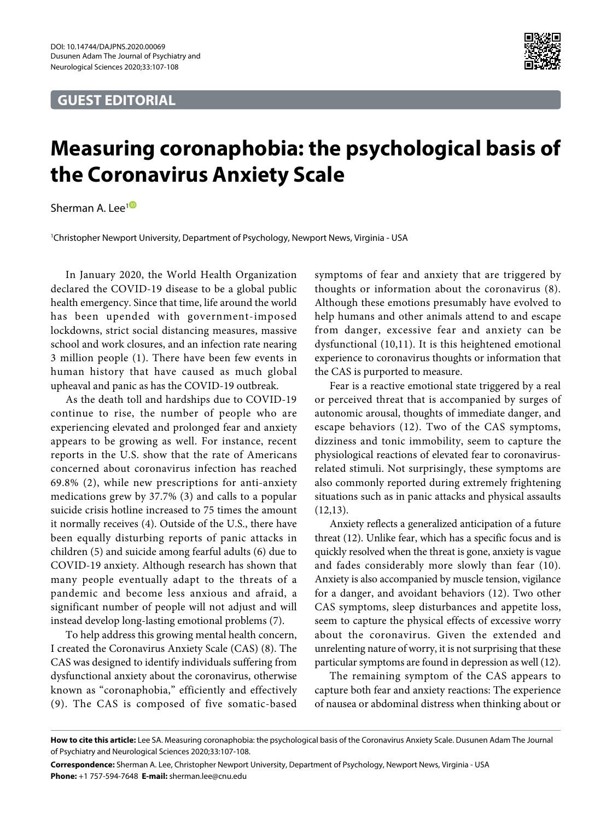## **GUEST EDITORIAL**



## **Measuring coronaphobia: the psychological basis of the Coronavirus Anxiety Scale**

Sherman A. Lee<sup>[1](https://orcid.org/0000-0003-1878-3472)</sub><sup>®</sup></sup>

1 Christopher Newport University, Department of Psychology, Newport News, Virginia - USA

In January 2020, the World Health Organization declared the COVID-19 disease to be a global public health emergency. Since that time, life around the world has been upended with government-imposed lockdowns, strict social distancing measures, massive school and work closures, and an infection rate nearing 3 million people (1). There have been few events in human history that have caused as much global upheaval and panic as has the COVID-19 outbreak.

As the death toll and hardships due to COVID-19 continue to rise, the number of people who are experiencing elevated and prolonged fear and anxiety appears to be growing as well. For instance, recent reports in the U.S. show that the rate of Americans concerned about coronavirus infection has reached 69.8% (2), while new prescriptions for anti-anxiety medications grew by 37.7% (3) and calls to a popular suicide crisis hotline increased to 75 times the amount it normally receives (4). Outside of the U.S., there have been equally disturbing reports of panic attacks in children (5) and suicide among fearful adults (6) due to COVID-19 anxiety. Although research has shown that many people eventually adapt to the threats of a pandemic and become less anxious and afraid, a significant number of people will not adjust and will instead develop long-lasting emotional problems (7).

To help address this growing mental health concern, I created the Coronavirus Anxiety Scale (CAS) (8). The CAS was designed to identify individuals suffering from dysfunctional anxiety about the coronavirus, otherwise known as "coronaphobia," efficiently and effectively (9). The CAS is composed of five somatic-based

symptoms of fear and anxiety that are triggered by thoughts or information about the coronavirus (8). Although these emotions presumably have evolved to help humans and other animals attend to and escape from danger, excessive fear and anxiety can be dysfunctional (10,11). It is this heightened emotional experience to coronavirus thoughts or information that the CAS is purported to measure.

Fear is a reactive emotional state triggered by a real or perceived threat that is accompanied by surges of autonomic arousal, thoughts of immediate danger, and escape behaviors (12). Two of the CAS symptoms, dizziness and tonic immobility, seem to capture the physiological reactions of elevated fear to coronavirusrelated stimuli. Not surprisingly, these symptoms are also commonly reported during extremely frightening situations such as in panic attacks and physical assaults (12,13).

Anxiety reflects a generalized anticipation of a future threat (12). Unlike fear, which has a specific focus and is quickly resolved when the threat is gone, anxiety is vague and fades considerably more slowly than fear (10). Anxiety is also accompanied by muscle tension, vigilance for a danger, and avoidant behaviors (12). Two other CAS symptoms, sleep disturbances and appetite loss, seem to capture the physical effects of excessive worry about the coronavirus. Given the extended and unrelenting nature of worry, it is not surprising that these particular symptoms are found in depression as well (12).

The remaining symptom of the CAS appears to capture both fear and anxiety reactions: The experience of nausea or abdominal distress when thinking about or

**How to cite this article:** Lee SA. Measuring coronaphobia: the psychological basis of the Coronavirus Anxiety Scale. Dusunen Adam The Journal of Psychiatry and Neurological Sciences 2020;33:107-108.

**Correspondence:** Sherman A. Lee, Christopher Newport University, Department of Psychology, Newport News, Virginia - USA **Phone:** +1 757-594-7648 **E-mail:** sherman.lee@cnu.edu